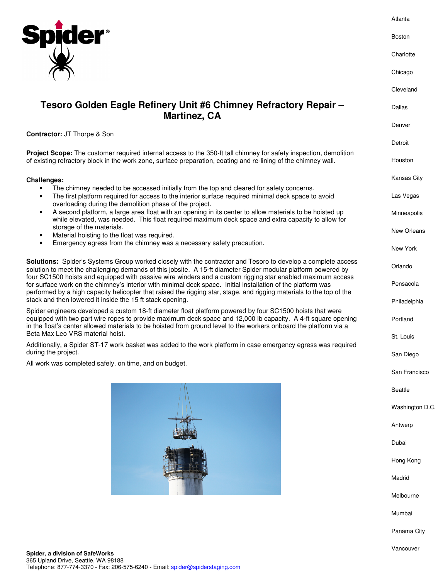

## **Tesoro Golden Eagle Refinery Unit #6 Chimney Refractory Repair – Martinez, CA**

**Contractor:** JT Thorpe & Son

**Project Scope:** The customer required internal access to the 350-ft tall chimney for safety inspection, demolition of existing refractory block in the work zone, surface preparation, coating and re-lining of the chimney wall.

## **Challenges:**

- The chimney needed to be accessed initially from the top and cleared for safety concerns.
- The first platform required for access to the interior surface required minimal deck space to avoid overloading during the demolition phase of the project.
- A second platform, a large area float with an opening in its center to allow materials to be hoisted up while elevated, was needed. This float required maximum deck space and extra capacity to allow for storage of the materials.
- Material hoisting to the float was required.
- Emergency egress from the chimney was a necessary safety precaution.

**Solutions:** Spider's Systems Group worked closely with the contractor and Tesoro to develop a complete access solution to meet the challenging demands of this jobsite. A 15-ft diameter Spider modular platform powered by four SC1500 hoists and equipped with passive wire winders and a custom rigging star enabled maximum access for surface work on the chimney's interior with minimal deck space. Initial installation of the platform was performed by a high capacity helicopter that raised the rigging star, stage, and rigging materials to the top of the stack and then lowered it inside the 15 ft stack opening.

Spider engineers developed a custom 18-ft diameter float platform powered by four SC1500 hoists that were equipped with two part wire ropes to provide maximum deck space and 12,000 lb capacity. A 4-ft square opening in the float's center allowed materials to be hoisted from ground level to the workers onboard the platform via a Beta Max Leo VRS material hoist.

Additionally, a Spider ST-17 work basket was added to the work platform in case emergency egress was required during the project.

All work was completed safely, on time, and on budget.



Detroit Houston Kansas City Las Vegas Minneapolis New Orleans New York Orlando Pensacola Philadelphia Portland St. Louis San Diego San Francisco **Seattle** Washington D.C. Antwerp Dubai Hong Kong Madrid Melbourne Mumbai Panama City Vancouver

Telephone: 877-774-3370 - Fax: 206-575-6240 - Email: spider@spiderstaging.com

365 Upland Drive, Seattle, WA 98188

Atlanta

Boston

**Charlotte** 

Chicago

Cleveland

Dallas

Denver